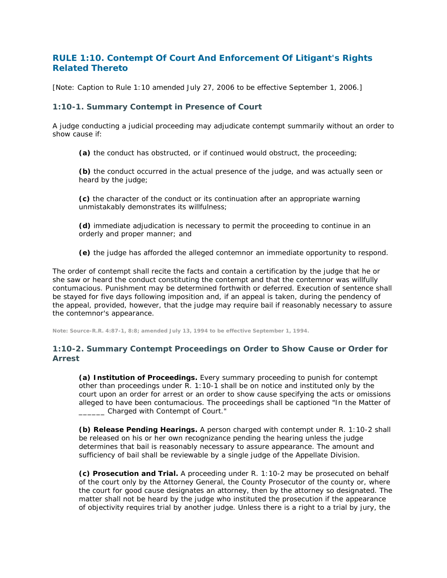## **RULE 1:10. Contempt Of Court And Enforcement Of Litigant's Rights Related Thereto**

[Note: Caption to Rule 1:10 amended July 27, 2006 to be effective September 1, 2006.]

## **1:10-1. Summary Contempt in Presence of Court**

A judge conducting a judicial proceeding may adjudicate contempt summarily without an order to show cause if:

**(a)** the conduct has obstructed, or if continued would obstruct, the proceeding;

**(b)** the conduct occurred in the actual presence of the judge, and was actually seen or heard by the judge;

**(c)** the character of the conduct or its continuation after an appropriate warning unmistakably demonstrates its willfulness;

**(d)** immediate adjudication is necessary to permit the proceeding to continue in an orderly and proper manner; and

**(e)** the judge has afforded the alleged contemnor an immediate opportunity to respond.

The order of contempt shall recite the facts and contain a certification by the judge that he or she saw or heard the conduct constituting the contempt and that the contemnor was willfully contumacious. Punishment may be determined forthwith or deferred. Execution of sentence shall be stayed for five days following imposition and, if an appeal is taken, during the pendency of the appeal, provided, however, that the judge may require bail if reasonably necessary to assure the contemnor's appearance.

**Note: Source-R.R. 4:87-1, 8:8; amended July 13, 1994 to be effective September 1, 1994.**

## **1:10-2. Summary Contempt Proceedings on Order to Show Cause or Order for Arrest**

**(a) Institution of Proceedings.** Every summary proceeding to punish for contempt other than proceedings under R. 1:10-1 shall be on notice and instituted only by the court upon an order for arrest or an order to show cause specifying the acts or omissions alleged to have been contumacious. The proceedings shall be captioned "In the Matter of \_\_\_\_\_\_ Charged with Contempt of Court."

**(b) Release Pending Hearings.** A person charged with contempt under R. 1:10-2 shall be released on his or her own recognizance pending the hearing unless the judge determines that bail is reasonably necessary to assure appearance. The amount and sufficiency of bail shall be reviewable by a single judge of the Appellate Division.

**(c) Prosecution and Trial.** A proceeding under R. 1:10-2 may be prosecuted on behalf of the court only by the Attorney General, the County Prosecutor of the county or, where the court for good cause designates an attorney, then by the attorney so designated. The matter shall not be heard by the judge who instituted the prosecution if the appearance of objectivity requires trial by another judge. Unless there is a right to a trial by jury, the